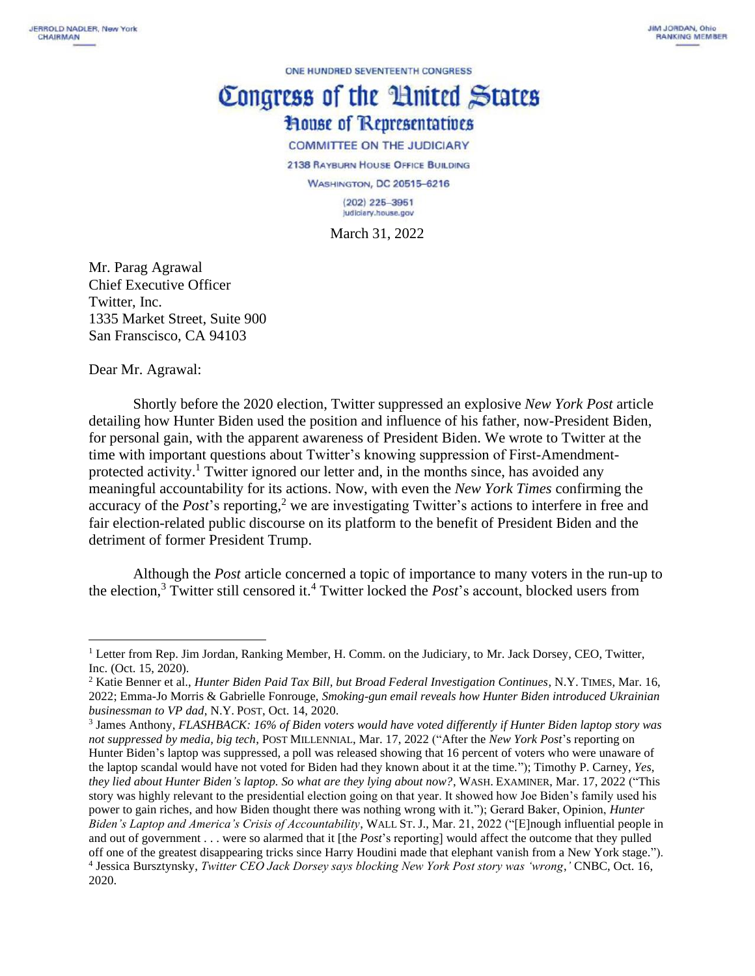ONE HUNDRED SEVENTEENTH CONGRESS

## Congress of the Huited States **House of Representatives COMMITTEE ON THE JUDICIARY**

2138 RAYBURN HOUSE OFFICE BUILDING **WASHINGTON, DC 20515-6216**  $(202)$  225-3951 Judiciary.house.gov

March 31, 2022

Mr. Parag Agrawal Chief Executive Officer Twitter, Inc. 1335 Market Street, Suite 900 San Franscisco, CA 94103

Dear Mr. Agrawal:

Shortly before the 2020 election, Twitter suppressed an explosive *New York Post* article detailing how Hunter Biden used the position and influence of his father, now-President Biden, for personal gain, with the apparent awareness of President Biden. We wrote to Twitter at the time with important questions about Twitter's knowing suppression of First-Amendmentprotected activity.<sup>1</sup> Twitter ignored our letter and, in the months since, has avoided any meaningful accountability for its actions. Now, with even the *New York Times* confirming the accuracy of the *Post*'s reporting,<sup>2</sup> we are investigating Twitter's actions to interfere in free and fair election-related public discourse on its platform to the benefit of President Biden and the detriment of former President Trump.

Although the *Post* article concerned a topic of importance to many voters in the run-up to the election,<sup>3</sup> Twitter still censored it.<sup>4</sup> Twitter locked the *Post*'s account, blocked users from

<sup>&</sup>lt;sup>1</sup> Letter from Rep. Jim Jordan, Ranking Member, H. Comm. on the Judiciary, to Mr. Jack Dorsey, CEO, Twitter, Inc. (Oct. 15, 2020).

<sup>2</sup> Katie Benner et al., *Hunter Biden Paid Tax Bill, but Broad Federal Investigation Continues*, N.Y. TIMES, Mar. 16, 2022; Emma-Jo Morris & Gabrielle Fonrouge, *Smoking-gun email reveals how Hunter Biden introduced Ukrainian businessman to VP dad*, N.Y. POST, Oct. 14, 2020.

<sup>3</sup> James Anthony, *FLASHBACK: 16% of Biden voters would have voted differently if Hunter Biden laptop story was not suppressed by media, big tech*, POST MILLENNIAL, Mar. 17, 2022 ("After the *New York Post*'s reporting on Hunter Biden's laptop was suppressed, a poll was released showing that 16 percent of voters who were unaware of the laptop scandal would have not voted for Biden had they known about it at the time."); Timothy P. Carney, *Yes, they lied about Hunter Biden's laptop. So what are they lying about now?*, WASH. EXAMINER, Mar. 17, 2022 ("This story was highly relevant to the presidential election going on that year. It showed how Joe Biden's family used his power to gain riches, and how Biden thought there was nothing wrong with it."); Gerard Baker, Opinion, *Hunter Biden's Laptop and America's Crisis of Accountability*, WALL ST. J., Mar. 21, 2022 ("[E]nough influential people in and out of government . . . were so alarmed that it [the *Post*'s reporting] would affect the outcome that they pulled off one of the greatest disappearing tricks since Harry Houdini made that elephant vanish from a New York stage."). 4 Jessica Bursztynsky, *Twitter CEO Jack Dorsey says blocking New York Post story was 'wrong*,*'* CNBC, Oct. 16, 2020.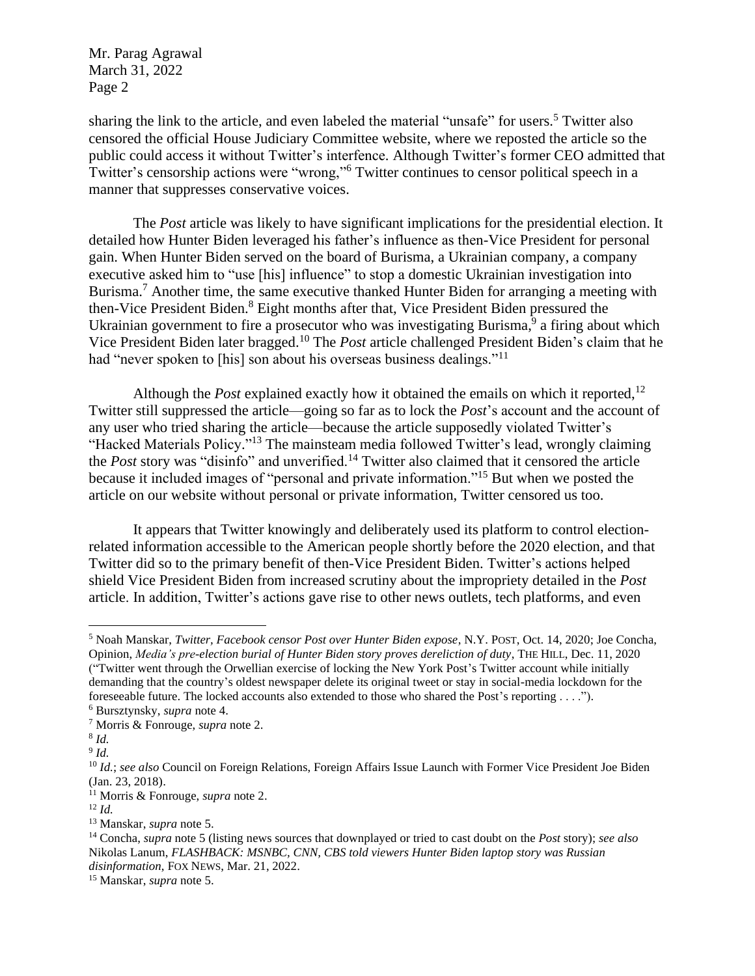sharing the link to the article, and even labeled the material "unsafe" for users. <sup>5</sup> Twitter also censored the official House Judiciary Committee website, where we reposted the article so the public could access it without Twitter's interfence. Although Twitter's former CEO admitted that Twitter's censorship actions were "wrong,"<sup>6</sup> Twitter continues to censor political speech in a manner that suppresses conservative voices.

The *Post* article was likely to have significant implications for the presidential election. It detailed how Hunter Biden leveraged his father's influence as then-Vice President for personal gain. When Hunter Biden served on the board of Burisma, a Ukrainian company, a company executive asked him to "use [his] influence" to stop a domestic Ukrainian investigation into Burisma.<sup>7</sup> Another time, the same executive thanked Hunter Biden for arranging a meeting with then-Vice President Biden.<sup>8</sup> Eight months after that, Vice President Biden pressured the Ukrainian government to fire a prosecutor who was investigating Burisma,<sup>9</sup> a firing about which Vice President Biden later bragged. <sup>10</sup> The *Post* article challenged President Biden's claim that he had "never spoken to [his] son about his overseas business dealings."<sup>11</sup>

Although the *Post* explained exactly how it obtained the emails on which it reported, 12 Twitter still suppressed the article—going so far as to lock the *Post*'s account and the account of any user who tried sharing the article—because the article supposedly violated Twitter's "Hacked Materials Policy."<sup>13</sup> The mainsteam media followed Twitter's lead, wrongly claiming the *Post* story was "disinfo" and unverified.<sup>14</sup> Twitter also claimed that it censored the article because it included images of "personal and private information."<sup>15</sup> But when we posted the article on our website without personal or private information, Twitter censored us too.

It appears that Twitter knowingly and deliberately used its platform to control electionrelated information accessible to the American people shortly before the 2020 election, and that Twitter did so to the primary benefit of then-Vice President Biden. Twitter's actions helped shield Vice President Biden from increased scrutiny about the impropriety detailed in the *Post* article. In addition, Twitter's actions gave rise to other news outlets, tech platforms, and even

<sup>5</sup> Noah Manskar, *Twitter, Facebook censor Post over Hunter Biden expose*, N.Y. POST, Oct. 14, 2020; Joe Concha, Opinion, *Media's pre-election burial of Hunter Biden story proves dereliction of duty*, THE HILL, Dec. 11, 2020 ("Twitter went through the Orwellian exercise of locking the New York Post's Twitter account while initially demanding that the country's oldest newspaper delete its original tweet or stay in social-media lockdown for the foreseeable future. The locked accounts also extended to those who shared the Post's reporting . . . ."). <sup>6</sup> Bursztynsky, *supra* note 4.

<sup>7</sup> Morris & Fonrouge, *supra* note 2.

<sup>8</sup> *Id.*

<sup>9</sup> *Id.*

<sup>&</sup>lt;sup>10</sup> *Id.*; see also Council on Foreign Relations, Foreign Affairs Issue Launch with Former Vice President Joe Biden (Jan. 23, 2018).

<sup>11</sup> Morris & Fonrouge, *supra* note 2.

<sup>12</sup> *Id.*

<sup>13</sup> Manskar, *supra* note 5.

<sup>14</sup> Concha, *supra* note 5 (listing news sources that downplayed or tried to cast doubt on the *Post* story); *see also*  Nikolas Lanum, *FLASHBACK: MSNBC, CNN, CBS told viewers Hunter Biden laptop story was Russian disinformation*, FOX NEWS, Mar. 21, 2022.

<sup>15</sup> Manskar, *supra* note 5.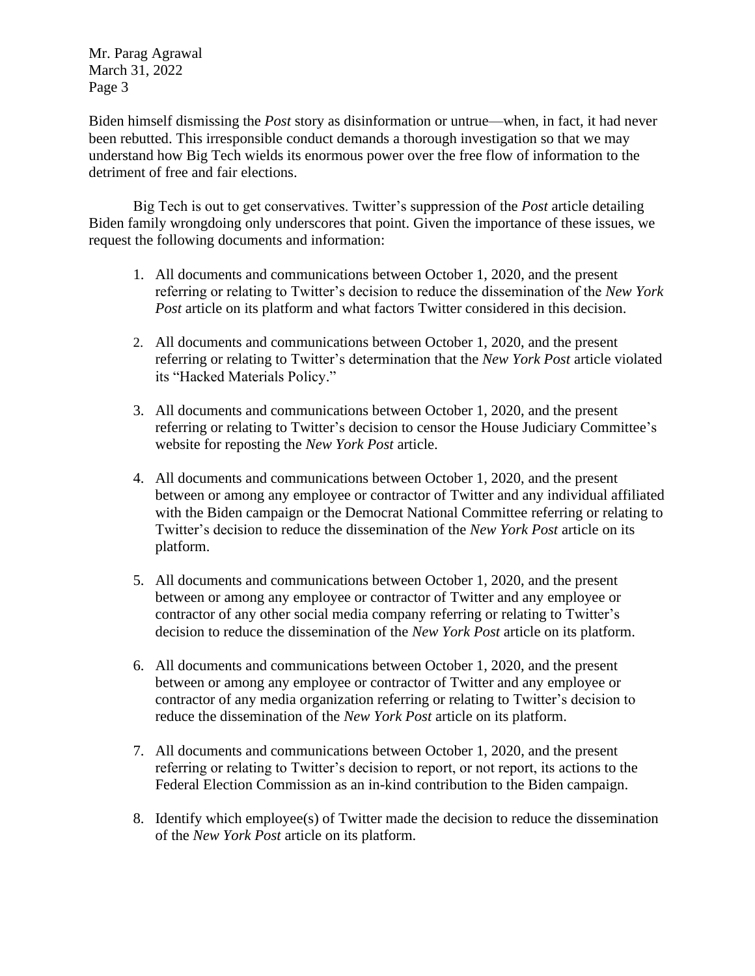Biden himself dismissing the *Post* story as disinformation or untrue—when, in fact, it had never been rebutted. This irresponsible conduct demands a thorough investigation so that we may understand how Big Tech wields its enormous power over the free flow of information to the detriment of free and fair elections.

Big Tech is out to get conservatives. Twitter's suppression of the *Post* article detailing Biden family wrongdoing only underscores that point. Given the importance of these issues, we request the following documents and information:

- 1. All documents and communications between October 1, 2020, and the present referring or relating to Twitter's decision to reduce the dissemination of the *New York Post* article on its platform and what factors Twitter considered in this decision.
- 2. All documents and communications between October 1, 2020, and the present referring or relating to Twitter's determination that the *New York Post* article violated its "Hacked Materials Policy."
- 3. All documents and communications between October 1, 2020, and the present referring or relating to Twitter's decision to censor the House Judiciary Committee's website for reposting the *New York Post* article.
- 4. All documents and communications between October 1, 2020, and the present between or among any employee or contractor of Twitter and any individual affiliated with the Biden campaign or the Democrat National Committee referring or relating to Twitter's decision to reduce the dissemination of the *New York Post* article on its platform.
- 5. All documents and communications between October 1, 2020, and the present between or among any employee or contractor of Twitter and any employee or contractor of any other social media company referring or relating to Twitter's decision to reduce the dissemination of the *New York Post* article on its platform.
- 6. All documents and communications between October 1, 2020, and the present between or among any employee or contractor of Twitter and any employee or contractor of any media organization referring or relating to Twitter's decision to reduce the dissemination of the *New York Post* article on its platform.
- 7. All documents and communications between October 1, 2020, and the present referring or relating to Twitter's decision to report, or not report, its actions to the Federal Election Commission as an in-kind contribution to the Biden campaign.
- 8. Identify which employee(s) of Twitter made the decision to reduce the dissemination of the *New York Post* article on its platform.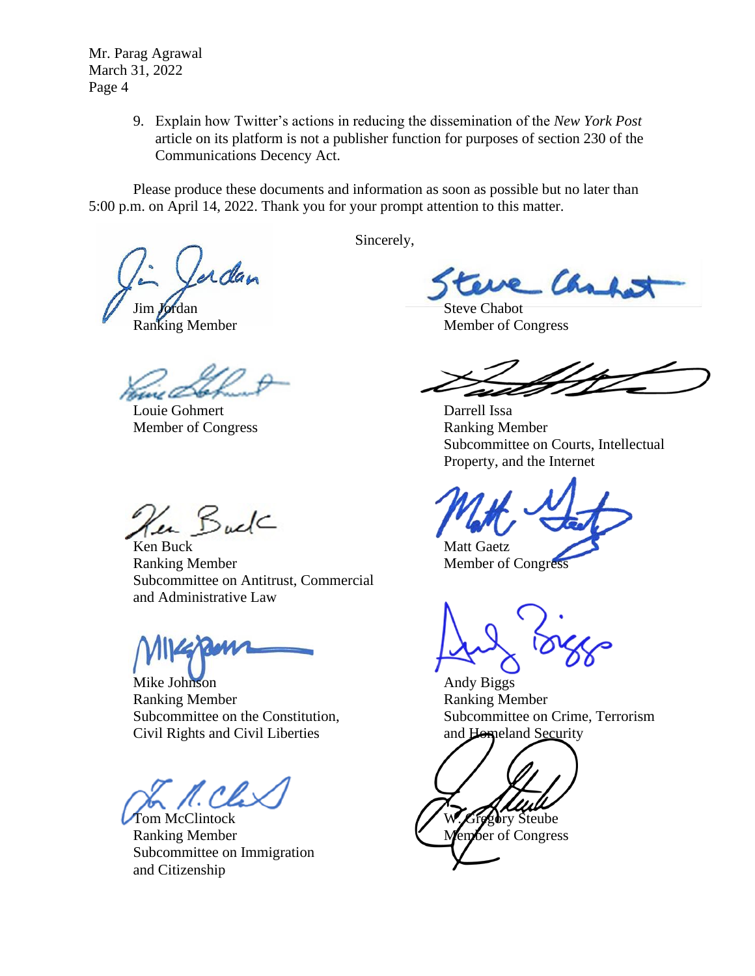> 9. Explain how Twitter's actions in reducing the dissemination of the *New York Post* article on its platform is not a publisher function for purposes of section 230 of the Communications Decency Act.

Please produce these documents and information as soon as possible but no later than 5:00 p.m. on April 14, 2022. Thank you for your prompt attention to this matter.

adan

Louie Gohmert Darrell Issa Member of Congress Ranking Member

Ken Buck

Ken Buck Matt Gaetz Ranking Member Member Member of Congress Subcommittee on Antitrust, Commercial and Administrative Law

Mike Johnson **Andy Biggs** Andy Biggs Ranking Member **Ranking Member** Civil Rights and Civil Liberties and Homeland Security

Tom McClintock W. Gregory Steube Ranking Member **Member** Member of Congress Subcommittee on Immigration and Citizenship

Sincerely,

Ca

Jim Jordan Steve Chabot<br>
Ranking Member<br>
Member of Co Member of Congress

Subcommittee on Courts, Intellectual Property, and the Internet

Subcommittee on the Constitution, Subcommittee on Crime, Terrorism